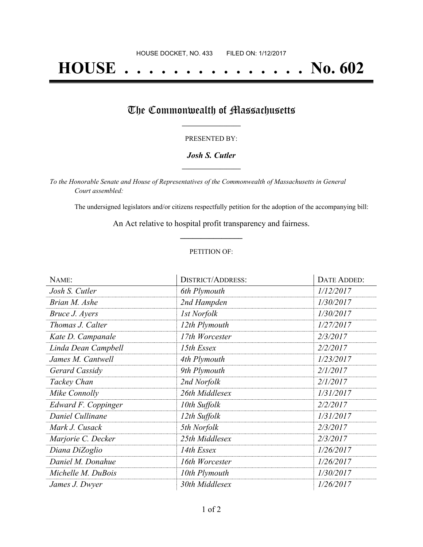# **HOUSE . . . . . . . . . . . . . . . No. 602**

## The Commonwealth of Massachusetts

#### PRESENTED BY:

#### *Josh S. Cutler* **\_\_\_\_\_\_\_\_\_\_\_\_\_\_\_\_\_**

*To the Honorable Senate and House of Representatives of the Commonwealth of Massachusetts in General Court assembled:*

The undersigned legislators and/or citizens respectfully petition for the adoption of the accompanying bill:

An Act relative to hospital profit transparency and fairness. **\_\_\_\_\_\_\_\_\_\_\_\_\_\_\_**

#### PETITION OF:

| NAME:               | <b>DISTRICT/ADDRESS:</b> | <b>DATE ADDED:</b> |
|---------------------|--------------------------|--------------------|
| Josh S. Cutler      | 6th Plymouth             | 1/12/2017          |
| Brian M. Ashe       | 2nd Hampden              | 1/30/2017          |
| Bruce J. Ayers      | 1st Norfolk              | 1/30/2017          |
| Thomas J. Calter    | 12th Plymouth            | 1/27/2017          |
| Kate D. Campanale   | 17th Worcester           | 2/3/2017           |
| Linda Dean Campbell | 15th Essex               | 2/2/2017           |
| James M. Cantwell   | 4th Plymouth             | 1/23/2017          |
| Gerard Cassidy      | 9th Plymouth             | 2/1/2017           |
| Tackey Chan         | 2nd Norfolk              | 2/1/2017           |
| Mike Connolly       | 26th Middlesex           | 1/31/2017          |
| Edward F. Coppinger | 10th Suffolk             | 2/2/2017           |
| Daniel Cullinane    | 12th Suffolk             | 1/31/2017          |
| Mark J. Cusack      | 5th Norfolk              | 2/3/2017           |
| Marjorie C. Decker  | 25th Middlesex           | 2/3/2017           |
| Diana DiZoglio      | 14th Essex               | 1/26/2017          |
| Daniel M. Donahue   | 16th Worcester           | 1/26/2017          |
| Michelle M. DuBois  | 10th Plymouth            | 1/30/2017          |
| James J. Dwyer      | 30th Middlesex           | 1/26/2017          |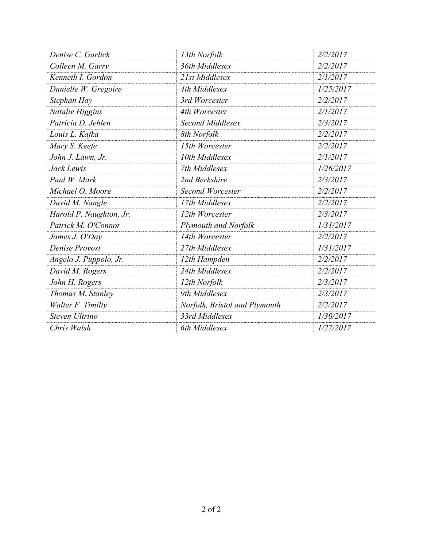| Denise C. Garlick        | 13th Norfolk                  | 2/2/2017  |
|--------------------------|-------------------------------|-----------|
| Colleen M. Garry         | 36th Middlesex                | 2/2/2017  |
| Kenneth I. Gordon        | 21st Middlesex                | 2/1/2017  |
| Danielle W. Gregoire     | 4th Middlesex                 | 1/25/2017 |
| Stephan Hay              | 3rd Worcester                 | 2/2/2017  |
| Natalie Higgins          | 4th Worcester                 | 2/1/2017  |
| Patricia D. Jehlen       | <b>Second Middlesex</b>       | 2/3/2017  |
| Louis L. Kafka           | 8th Norfolk                   | 2/2/2017  |
| Mary S. Keefe            | 15th Worcester                | 2/2/2017  |
| John J. Lawn, Jr.        | 10th Middlesex                | 2/1/2017  |
| Jack Lewis               | 7th Middlesex                 | 1/26/2017 |
| Paul W. Mark             | 2nd Berkshire                 | 2/3/2017  |
| Michael O. Moore         | <b>Second Worcester</b>       | 2/2/2017  |
| David M. Nangle          | 17th Middlesex                | 2/2/2017  |
| Harold P. Naughton, Jr.  | 12th Worcester                | 2/3/2017  |
| Patrick M. O'Connor      | Plymouth and Norfolk          | 1/31/2017 |
| James J. O'Day           | 14th Worcester                | 2/2/2017  |
| Denise Provost           | 27th Middlesex                | 1/31/2017 |
| Angelo J. Puppolo, Jr.   | 12th Hampden                  | 2/2/2017  |
| David M. Rogers          | 24th Middlesex                | 2/2/2017  |
| John H. Rogers           | 12th Norfolk                  | 2/3/2017  |
| Thomas M. Stanley        | 9th Middlesex                 | 2/3/2017  |
| <b>Walter F. Timilty</b> | Norfolk, Bristol and Plymouth | 2/2/2017  |
| Steven Ultrino           | 33rd Middlesex                | 1/30/2017 |
| Chris Walsh              | 6th Middlesex                 | 1/27/2017 |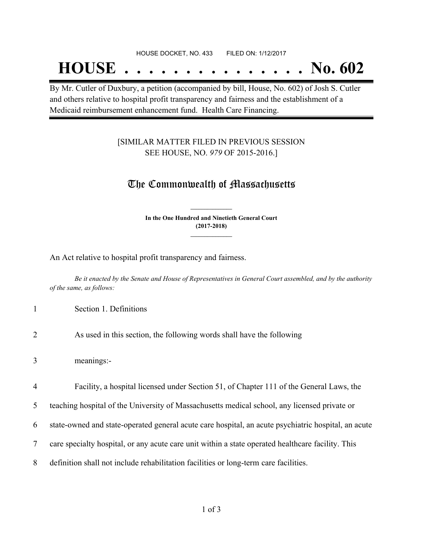#### HOUSE DOCKET, NO. 433 FILED ON: 1/12/2017

## **HOUSE . . . . . . . . . . . . . . . No. 602**

By Mr. Cutler of Duxbury, a petition (accompanied by bill, House, No. 602) of Josh S. Cutler and others relative to hospital profit transparency and fairness and the establishment of a Medicaid reimbursement enhancement fund. Health Care Financing.

#### [SIMILAR MATTER FILED IN PREVIOUS SESSION SEE HOUSE, NO. *979* OF 2015-2016.]

### The Commonwealth of Massachusetts

**In the One Hundred and Ninetieth General Court (2017-2018) \_\_\_\_\_\_\_\_\_\_\_\_\_\_\_**

**\_\_\_\_\_\_\_\_\_\_\_\_\_\_\_**

An Act relative to hospital profit transparency and fairness.

Be it enacted by the Senate and House of Representatives in General Court assembled, and by the authority *of the same, as follows:*

- 1 Section 1. Definitions
- 2 As used in this section, the following words shall have the following
- 3 meanings:-

4 Facility, a hospital licensed under Section 51, of Chapter 111 of the General Laws, the

5 teaching hospital of the University of Massachusetts medical school, any licensed private or

6 state-owned and state-operated general acute care hospital, an acute psychiatric hospital, an acute

- 7 care specialty hospital, or any acute care unit within a state operated healthcare facility. This
- 8 definition shall not include rehabilitation facilities or long-term care facilities.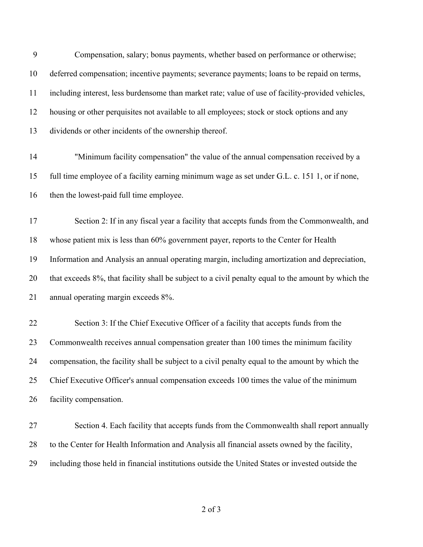Compensation, salary; bonus payments, whether based on performance or otherwise; deferred compensation; incentive payments; severance payments; loans to be repaid on terms, including interest, less burdensome than market rate; value of use of facility-provided vehicles, housing or other perquisites not available to all employees; stock or stock options and any dividends or other incidents of the ownership thereof. "Minimum facility compensation" the value of the annual compensation received by a full time employee of a facility earning minimum wage as set under G.L. c. 151 1, or if none, then the lowest-paid full time employee. Section 2: If in any fiscal year a facility that accepts funds from the Commonwealth, and whose patient mix is less than 60% government payer, reports to the Center for Health Information and Analysis an annual operating margin, including amortization and depreciation, that exceeds 8%, that facility shall be subject to a civil penalty equal to the amount by which the annual operating margin exceeds 8%. Section 3: If the Chief Executive Officer of a facility that accepts funds from the 23 Commonwealth receives annual compensation greater than 100 times the minimum facility compensation, the facility shall be subject to a civil penalty equal to the amount by which the Chief Executive Officer's annual compensation exceeds 100 times the value of the minimum facility compensation. Section 4. Each facility that accepts funds from the Commonwealth shall report annually to the Center for Health Information and Analysis all financial assets owned by the facility,

including those held in financial institutions outside the United States or invested outside the

of 3